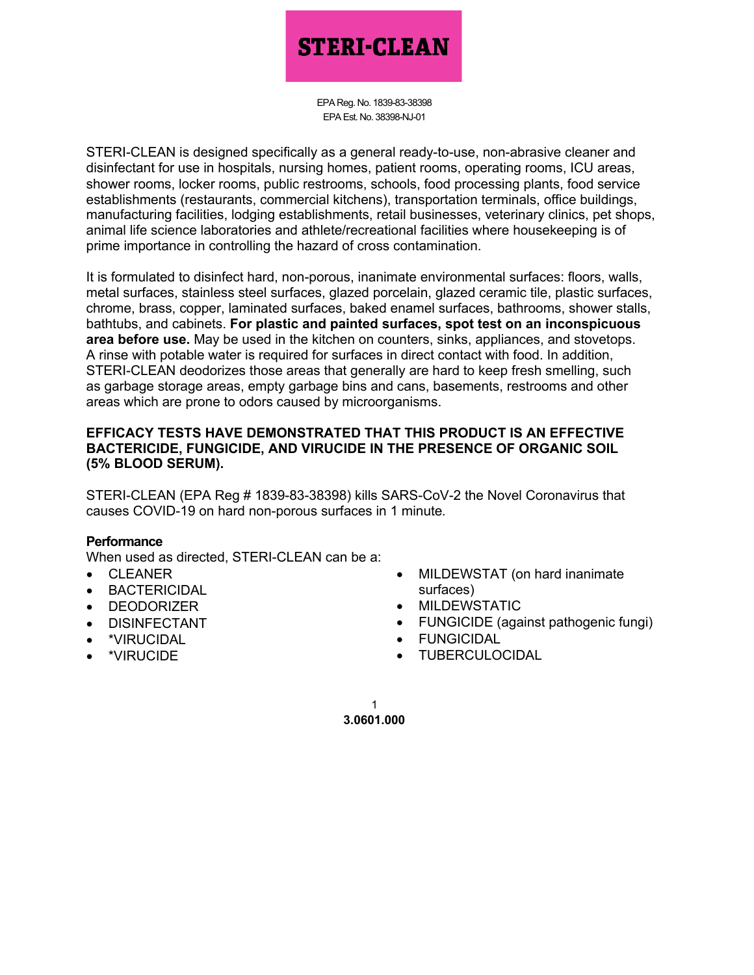# **STERI-CLEAN**

EPA Reg. No. 1839-83-38398 EPA Est. No. 38398-NJ-01

STERI-CLEAN is designed specifically as a general ready-to-use, non-abrasive cleaner and disinfectant for use in hospitals, nursing homes, patient rooms, operating rooms, ICU areas, shower rooms, locker rooms, public restrooms, schools, food processing plants, food service establishments (restaurants, commercial kitchens), transportation terminals, office buildings, manufacturing facilities, lodging establishments, retail businesses, veterinary clinics, pet shops, animal life science laboratories and athlete/recreational facilities where housekeeping is of prime importance in controlling the hazard of cross contamination.

It is formulated to disinfect hard, non-porous, inanimate environmental surfaces: floors, walls, metal surfaces, stainless steel surfaces, glazed porcelain, glazed ceramic tile, plastic surfaces, chrome, brass, copper, laminated surfaces, baked enamel surfaces, bathrooms, shower stalls, bathtubs, and cabinets. **For plastic and painted surfaces, spot test on an inconspicuous area before use.** May be used in the kitchen on counters, sinks, appliances, and stovetops. A rinse with potable water is required for surfaces in direct contact with food. In addition, STERI-CLEAN deodorizes those areas that generally are hard to keep fresh smelling, such as garbage storage areas, empty garbage bins and cans, basements, restrooms and other areas which are prone to odors caused by microorganisms.

#### **EFFICACY TESTS HAVE DEMONSTRATED THAT THIS PRODUCT IS AN EFFECTIVE BACTERICIDE, FUNGICIDE, AND VIRUCIDE IN THE PRESENCE OF ORGANIC SOIL (5% BLOOD SERUM).**

STERI-CLEAN (EPA Reg # 1839-83-38398) kills SARS-CoV-2 the Novel Coronavirus that causes COVID-19 on hard non-porous surfaces in 1 minute*.*

## **Performance**

When used as directed, STERI-CLEAN can be a:

- CLEANER
- **BACTERICIDAL**
- DEODORIZER
- DISINFECTANT
- \*VIRUCIDAL
- \*VIRUCIDE
- MILDEWSTAT (on hard inanimate surfaces)
- MILDEWSTATIC
- FUNGICIDE (against pathogenic fungi)
- FUNGICIDAL
- TUBERCULOCIDAL

**3.0601.000** 1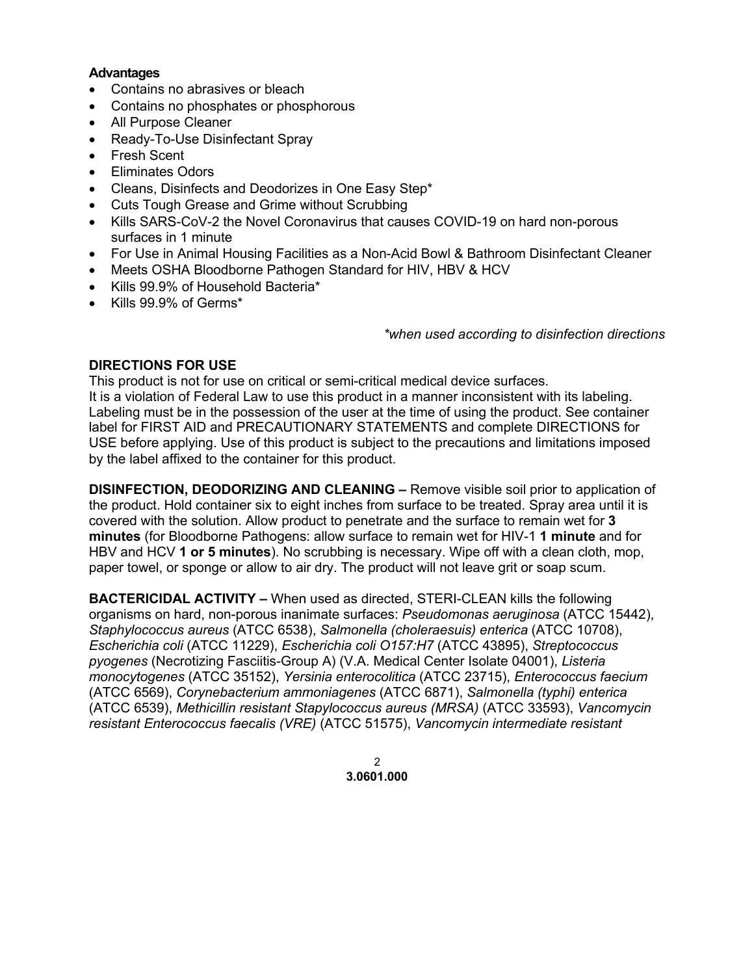#### **Advantages**

- Contains no abrasives or bleach
- Contains no phosphates or phosphorous
- All Purpose Cleaner
- Ready-To-Use Disinfectant Spray
- **Fresh Scent**
- Eliminates Odors
- Cleans, Disinfects and Deodorizes in One Easy Step\*
- Cuts Tough Grease and Grime without Scrubbing
- Kills SARS-CoV-2 the Novel Coronavirus that causes COVID-19 on hard non-porous surfaces in 1 minute
- For Use in Animal Housing Facilities as a Non-Acid Bowl & Bathroom Disinfectant Cleaner
- Meets OSHA Bloodborne Pathogen Standard for HIV, HBV & HCV
- Kills 99.9% of Household Bacteria\*
- Kills 99.9% of Germs\*

*\*when used according to disinfection directions*

# **DIRECTIONS FOR USE**

This product is not for use on critical or semi-critical medical device surfaces. It is a violation of Federal Law to use this product in a manner inconsistent with its labeling. Labeling must be in the possession of the user at the time of using the product. See container label for FIRST AID and PRECAUTIONARY STATEMENTS and complete DIRECTIONS for USE before applying. Use of this product is subject to the precautions and limitations imposed by the label affixed to the container for this product.

**DISINFECTION, DEODORIZING AND CLEANING –** Remove visible soil prior to application of the product. Hold container six to eight inches from surface to be treated. Spray area until it is covered with the solution. Allow product to penetrate and the surface to remain wet for **3 minutes** (for Bloodborne Pathogens: allow surface to remain wet for HIV-1 **1 minute** and for HBV and HCV **1 or 5 minutes**). No scrubbing is necessary. Wipe off with a clean cloth, mop, paper towel, or sponge or allow to air dry. The product will not leave grit or soap scum.

**BACTERICIDAL ACTIVITY –** When used as directed, STERI-CLEAN kills the following organisms on hard, non-porous inanimate surfaces: *Pseudomonas aeruginosa* (ATCC 15442), *Staphylococcus aureus* (ATCC 6538), *Salmonella (choleraesuis) enterica* (ATCC 10708), *Escherichia coli* (ATCC 11229), *Escherichia coli O157:H7* (ATCC 43895), *Streptococcus pyogenes* (Necrotizing Fasciitis-Group A) (V.A. Medical Center Isolate 04001), *Listeria monocytogenes* (ATCC 35152), *Yersinia enterocolitica* (ATCC 23715), *Enterococcus faecium* (ATCC 6569), *Corynebacterium ammoniagenes* (ATCC 6871), *Salmonella (typhi) enterica* (ATCC 6539), *Methicillin resistant Stapylococcus aureus (MRSA)* (ATCC 33593), *Vancomycin resistant Enterococcus faecalis (VRE)* (ATCC 51575), *Vancomycin intermediate resistant* 

> **3.0601.000**  $\mathfrak{p}$